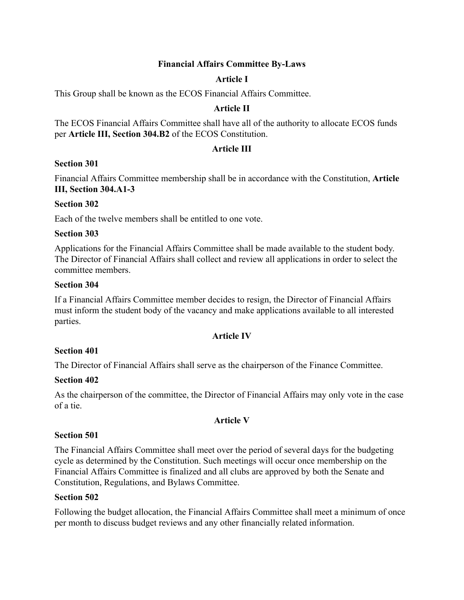## **Financial Affairs Committee By-Laws**

## **Article I**

This Group shall be known as the ECOS Financial Affairs Committee.

## **Article II**

The ECOS Financial Affairs Committee shall have all of the authority to allocate ECOS funds per **Article III, Section 304.B2** of the ECOS Constitution.

## **Article III**

### **Section 301**

Financial Affairs Committee membership shall be in accordance with the Constitution, **Article III, Section 304.A1-3**

### **Section 302**

Each of the twelve members shall be entitled to one vote.

### **Section 303**

Applications for the Financial Affairs Committee shall be made available to the student body. The Director of Financial Affairs shall collect and review all applications in order to select the committee members.

#### **Section 304**

If a Financial Affairs Committee member decides to resign, the Director of Financial Affairs must inform the student body of the vacancy and make applications available to all interested parties.

### **Article IV**

### **Section 401**

The Director of Financial Affairs shall serve as the chairperson of the Finance Committee.

### **Section 402**

As the chairperson of the committee, the Director of Financial Affairs may only vote in the case of a tie.

### **Article V**

### **Section 501**

The Financial Affairs Committee shall meet over the period of several days for the budgeting cycle as determined by the Constitution. Such meetings will occur once membership on the Financial Affairs Committee is finalized and all clubs are approved by both the Senate and Constitution, Regulations, and Bylaws Committee.

#### **Section 502**

Following the budget allocation, the Financial Affairs Committee shall meet a minimum of once per month to discuss budget reviews and any other financially related information.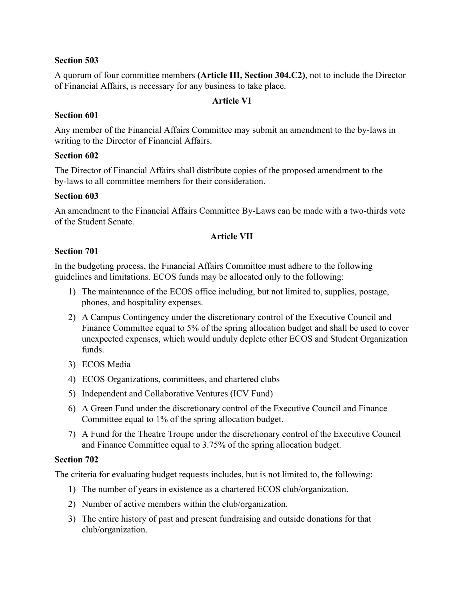## **Section 503**

A quorum of four committee members **(Article III, Section 304.C2)**, not to include the Director of Financial Affairs, is necessary for any business to take place.

## **Article VI**

## **Section 601**

Any member of the Financial Affairs Committee may submit an amendment to the by-laws in writing to the Director of Financial Affairs.

### **Section 602**

The Director of Financial Affairs shall distribute copies of the proposed amendment to the by-laws to all committee members for their consideration.

## **Section 603**

An amendment to the Financial Affairs Committee By-Laws can be made with a two-thirds vote of the Student Senate.

# **Article VII**

## **Section 701**

In the budgeting process, the Financial Affairs Committee must adhere to the following guidelines and limitations. ECOS funds may be allocated only to the following:

- 1) The maintenance of the ECOS office including, but not limited to, supplies, postage, phones, and hospitality expenses.
- 2) A Campus Contingency under the discretionary control of the Executive Council and Finance Committee equal to 5% of the spring allocation budget and shall be used to cover unexpected expenses, which would unduly deplete other ECOS and Student Organization funds.
- 3) ECOS Media
- 4) ECOS Organizations, committees, and chartered clubs
- 5) Independent and Collaborative Ventures (ICV Fund)
- 6) A Green Fund under the discretionary control of the Executive Council and Finance Committee equal to 1% of the spring allocation budget.
- 7) A Fund for the Theatre Troupe under the discretionary control of the Executive Council and Finance Committee equal to 3.75% of the spring allocation budget.

### **Section 702**

The criteria for evaluating budget requests includes, but is not limited to, the following:

- 1) The number of years in existence as a chartered ECOS club/organization.
- 2) Number of active members within the club/organization.
- 3) The entire history of past and present fundraising and outside donations for that club/organization.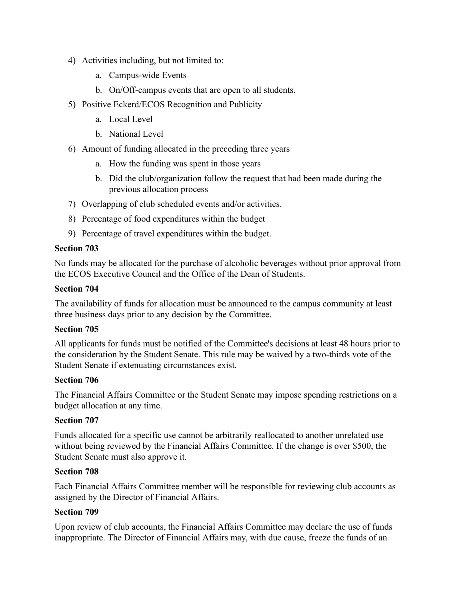- 4) Activities including, but not limited to:
	- a. Campus-wide Events
	- b. On/Off-campus events that are open to all students.
- 5) Positive Eckerd/ECOS Recognition and Publicity
	- a. Local Level
	- b. National Level
- 6) Amount of funding allocated in the preceding three years
	- a. How the funding was spent in those years
	- b. Did the club/organization follow the request that had been made during the previous allocation process
- 7) Overlapping of club scheduled events and/or activities.
- 8) Percentage of food expenditures within the budget
- 9) Percentage of travel expenditures within the budget.

## **Section 703**

No funds may be allocated for the purchase of alcoholic beverages without prior approval from the ECOS Executive Council and the Office of the Dean of Students.

#### **Section 704**

The availability of funds for allocation must be announced to the campus community at least three business days prior to any decision by the Committee.

### **Section 705**

All applicants for funds must be notified of the Committee's decisions at least 48 hours prior to the consideration by the Student Senate. This rule may be waived by a two-thirds vote of the Student Senate if extenuating circumstances exist.

### **Section 706**

The Financial Affairs Committee or the Student Senate may impose spending restrictions on a budget allocation at any time.

### **Section 707**

Funds allocated for a specific use cannot be arbitrarily reallocated to another unrelated use without being reviewed by the Financial Affairs Committee. If the change is over \$500, the Student Senate must also approve it.

### **Section 708**

Each Financial Affairs Committee member will be responsible for reviewing club accounts as assigned by the Director of Financial Affairs.

### **Section 709**

Upon review of club accounts, the Financial Affairs Committee may declare the use of funds inappropriate. The Director of Financial Affairs may, with due cause, freeze the funds of an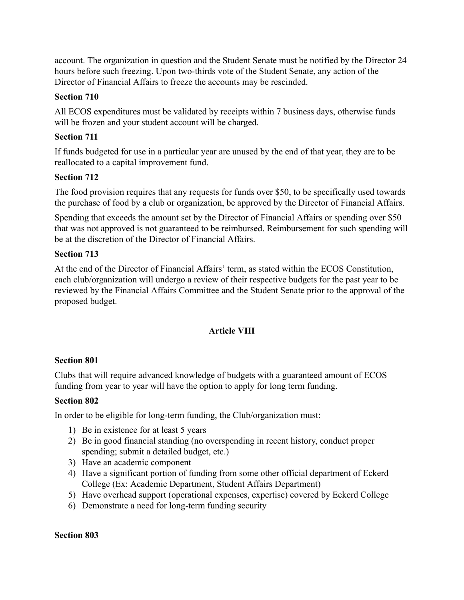account. The organization in question and the Student Senate must be notified by the Director 24 hours before such freezing. Upon two-thirds vote of the Student Senate, any action of the Director of Financial Affairs to freeze the accounts may be rescinded.

# **Section 710**

All ECOS expenditures must be validated by receipts within 7 business days, otherwise funds will be frozen and your student account will be charged.

# **Section 711**

If funds budgeted for use in a particular year are unused by the end of that year, they are to be reallocated to a capital improvement fund.

# **Section 712**

The food provision requires that any requests for funds over \$50, to be specifically used towards the purchase of food by a club or organization, be approved by the Director of Financial Affairs.

Spending that exceeds the amount set by the Director of Financial Affairs or spending over \$50 that was not approved is not guaranteed to be reimbursed. Reimbursement for such spending will be at the discretion of the Director of Financial Affairs.

# **Section 713**

At the end of the Director of Financial Affairs' term, as stated within the ECOS Constitution, each club/organization will undergo a review of their respective budgets for the past year to be reviewed by the Financial Affairs Committee and the Student Senate prior to the approval of the proposed budget.

# **Article VIII**

# **Section 801**

Clubs that will require advanced knowledge of budgets with a guaranteed amount of ECOS funding from year to year will have the option to apply for long term funding.

# **Section 802**

In order to be eligible for long-term funding, the Club/organization must:

- 1) Be in existence for at least 5 years
- 2) Be in good financial standing (no overspending in recent history, conduct proper spending; submit a detailed budget, etc.)
- 3) Have an academic component
- 4) Have a significant portion of funding from some other official department of Eckerd College (Ex: Academic Department, Student Affairs Department)
- 5) Have overhead support (operational expenses, expertise) covered by Eckerd College
- 6) Demonstrate a need for long-term funding security

# **Section 803**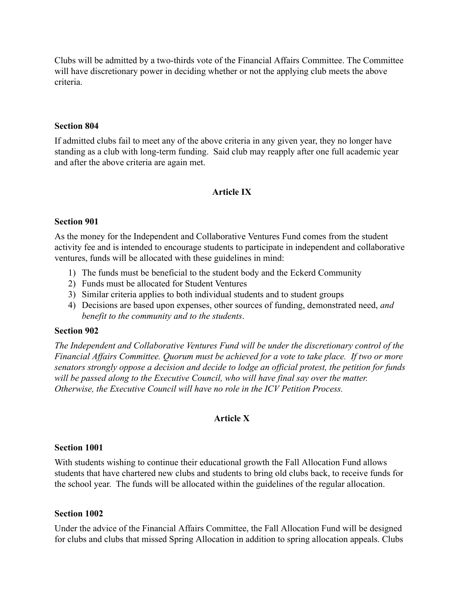Clubs will be admitted by a two-thirds vote of the Financial Affairs Committee. The Committee will have discretionary power in deciding whether or not the applying club meets the above criteria.

#### **Section 804**

If admitted clubs fail to meet any of the above criteria in any given year, they no longer have standing as a club with long-term funding. Said club may reapply after one full academic year and after the above criteria are again met.

### **Article IX**

#### **Section 901**

As the money for the Independent and Collaborative Ventures Fund comes from the student activity fee and is intended to encourage students to participate in independent and collaborative ventures, funds will be allocated with these guidelines in mind:

- 1) The funds must be beneficial to the student body and the Eckerd Community
- 2) Funds must be allocated for Student Ventures
- 3) Similar criteria applies to both individual students and to student groups
- 4) Decisions are based upon expenses, other sources of funding, demonstrated need, *and benefit to the community and to the students*.

#### **Section 902**

*The Independent and Collaborative Ventures Fund will be under the discretionary control of the Financial Affairs Committee. Quorum must be achieved for a vote to take place. If two or more senators strongly oppose a decision and decide to lodge an official protest, the petition for funds will be passed along to the Executive Council, who will have final say over the matter. Otherwise, the Executive Council will have no role in the ICV Petition Process.*

### **Article X**

#### **Section 1001**

With students wishing to continue their educational growth the Fall Allocation Fund allows students that have chartered new clubs and students to bring old clubs back, to receive funds for the school year. The funds will be allocated within the guidelines of the regular allocation.

#### **Section 1002**

Under the advice of the Financial Affairs Committee, the Fall Allocation Fund will be designed for clubs and clubs that missed Spring Allocation in addition to spring allocation appeals. Clubs